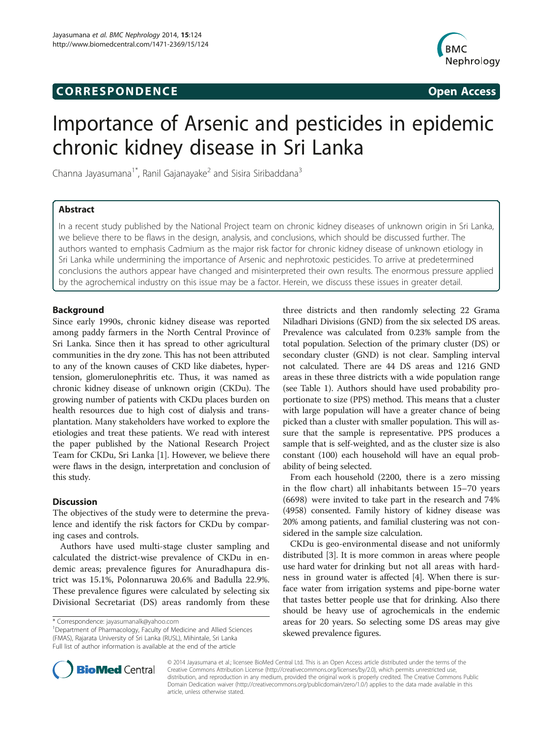## **CORRESPONDENCE CORRESPONDENCE** *CORRESPONDENCE*



# Importance of Arsenic and pesticides in epidemic chronic kidney disease in Sri Lanka

Channa Jayasumana<sup>1\*</sup>, Ranil Gajanayake<sup>2</sup> and Sisira Siribaddana<sup>3</sup>

## Abstract

In a recent study published by the National Project team on chronic kidney diseases of unknown origin in Sri Lanka, we believe there to be flaws in the design, analysis, and conclusions, which should be discussed further. The authors wanted to emphasis Cadmium as the major risk factor for chronic kidney disease of unknown etiology in Sri Lanka while undermining the importance of Arsenic and nephrotoxic pesticides. To arrive at predetermined conclusions the authors appear have changed and misinterpreted their own results. The enormous pressure applied by the agrochemical industry on this issue may be a factor. Herein, we discuss these issues in greater detail.

## Background

Since early 1990s, chronic kidney disease was reported among paddy farmers in the North Central Province of Sri Lanka. Since then it has spread to other agricultural communities in the dry zone. This has not been attributed to any of the known causes of CKD like diabetes, hypertension, glomerulonephritis etc. Thus, it was named as chronic kidney disease of unknown origin (CKDu). The growing number of patients with CKDu places burden on health resources due to high cost of dialysis and transplantation. Many stakeholders have worked to explore the etiologies and treat these patients. We read with interest the paper published by the National Research Project Team for CKDu, Sri Lanka [\[1](#page-3-0)]. However, we believe there were flaws in the design, interpretation and conclusion of this study.

## **Discussion**

The objectives of the study were to determine the prevalence and identify the risk factors for CKDu by comparing cases and controls.

Authors have used multi-stage cluster sampling and calculated the district-wise prevalence of CKDu in endemic areas; prevalence figures for Anuradhapura district was 15.1%, Polonnaruwa 20.6% and Badulla 22.9%. These prevalence figures were calculated by selecting six Divisional Secretariat (DS) areas randomly from these

<sup>1</sup>Department of Pharmacology, Faculty of Medicine and Allied Sciences (FMAS), Rajarata University of Sri Lanka (RUSL), Mihintale, Sri Lanka Full list of author information is available at the end of the article

three districts and then randomly selecting 22 Grama Niladhari Divisions (GND) from the six selected DS areas. Prevalence was calculated from 0.23% sample from the total population. Selection of the primary cluster (DS) or secondary cluster (GND) is not clear. Sampling interval not calculated. There are 44 DS areas and 1216 GND areas in these three districts with a wide population range (see Table [1\)](#page-1-0). Authors should have used probability proportionate to size (PPS) method. This means that a cluster with large population will have a greater chance of being picked than a cluster with smaller population. This will assure that the sample is representative. PPS produces a sample that is self-weighted, and as the cluster size is also constant (100) each household will have an equal probability of being selected.

From each household (2200, there is a zero missing in the flow chart) all inhabitants between 15–70 years (6698) were invited to take part in the research and 74% (4958) consented. Family history of kidney disease was 20% among patients, and familial clustering was not considered in the sample size calculation.

CKDu is geo-environmental disease and not uniformly distributed [\[3](#page-3-0)]. It is more common in areas where people use hard water for drinking but not all areas with hardness in ground water is affected [\[4\]](#page-3-0). When there is surface water from irrigation systems and pipe-borne water that tastes better people use that for drinking. Also there should be heavy use of agrochemicals in the endemic areas for 20 years. So selecting some DS areas may give skewed prevalence figures.



© 2014 Jayasumana et al.; licensee BioMed Central Ltd. This is an Open Access article distributed under the terms of the Creative Commons Attribution License (<http://creativecommons.org/licenses/by/2.0>), which permits unrestricted use, distribution, and reproduction in any medium, provided the original work is properly credited. The Creative Commons Public Domain Dedication waiver [\(http://creativecommons.org/publicdomain/zero/1.0/\)](http://creativecommons.org/publicdomain/zero/1.0/) applies to the data made available in this article, unless otherwise stated.

<sup>\*</sup> Correspondence: [jayasumanalk@yahoo.com](mailto:jayasumanalk@yahoo.com) <sup>1</sup>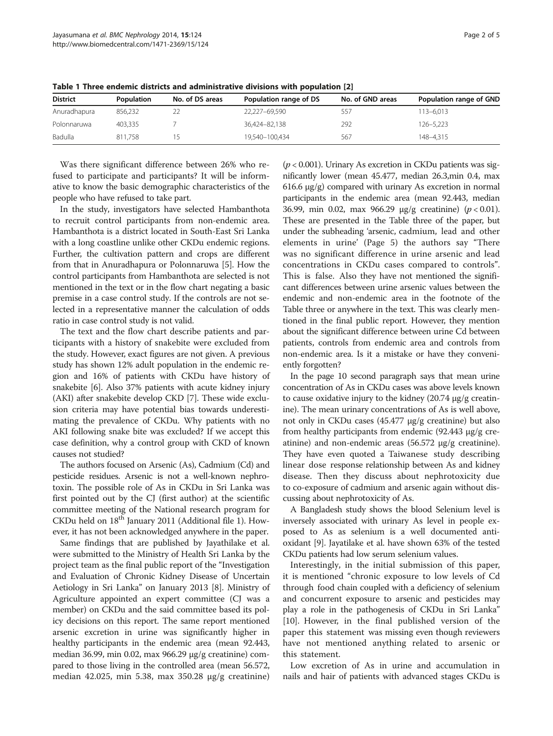| <b>District</b> | <b>Population</b> | No. of DS areas | Population range of DS | No. of GND areas | Population range of GND |
|-----------------|-------------------|-----------------|------------------------|------------------|-------------------------|
| Anuradhapura    | 856.232           |                 | 22.227-69.590          | 557              | $113 - 6.013$           |
| Polonnaruwa     | 403.335           |                 | 36.424-82.138          | 292              | 126-5,223               |
| Badulla         | 811.758           |                 | 19.540-100.434         | 567              | 148-4.315               |

<span id="page-1-0"></span>Table 1 Three endemic districts and administrative divisions with population [[2\]](#page-3-0)

Was there significant difference between 26% who refused to participate and participants? It will be informative to know the basic demographic characteristics of the people who have refused to take part.

In the study, investigators have selected Hambanthota to recruit control participants from non-endemic area. Hambanthota is a district located in South-East Sri Lanka with a long coastline unlike other CKDu endemic regions. Further, the cultivation pattern and crops are different from that in Anuradhapura or Polonnaruwa [\[5](#page-3-0)]. How the control participants from Hambanthota are selected is not mentioned in the text or in the flow chart negating a basic premise in a case control study. If the controls are not selected in a representative manner the calculation of odds ratio in case control study is not valid.

The text and the flow chart describe patients and participants with a history of snakebite were excluded from the study. However, exact figures are not given. A previous study has shown 12% adult population in the endemic region and 16% of patients with CKDu have history of snakebite [[6\]](#page-3-0). Also 37% patients with acute kidney injury (AKI) after snakebite develop CKD [\[7](#page-3-0)]. These wide exclusion criteria may have potential bias towards underestimating the prevalence of CKDu. Why patients with no AKI following snake bite was excluded? If we accept this case definition, why a control group with CKD of known causes not studied?

The authors focused on Arsenic (As), Cadmium (Cd) and pesticide residues. Arsenic is not a well-known nephrotoxin. The possible role of As in CKDu in Sri Lanka was first pointed out by the CJ (first author) at the scientific committee meeting of the National research program for CKDu held on 18<sup>th</sup> January 2011 (Additional file [1\)](#page-3-0). However, it has not been acknowledged anywhere in the paper.

Same findings that are published by Jayathilake et al. were submitted to the Ministry of Health Sri Lanka by the project team as the final public report of the "Investigation and Evaluation of Chronic Kidney Disease of Uncertain Aetiology in Sri Lanka" on January 2013 [\[8\]](#page-3-0). Ministry of Agriculture appointed an expert committee (CJ was a member) on CKDu and the said committee based its policy decisions on this report. The same report mentioned arsenic excretion in urine was significantly higher in healthy participants in the endemic area (mean 92.443, median 36.99, min 0.02, max 966.29 μg/g creatinine) compared to those living in the controlled area (mean 56.572, median 42.025, min 5.38, max 350.28 μg/g creatinine)

 $(p < 0.001)$ . Urinary As excretion in CKDu patients was significantly lower (mean 45.477, median 26.3,min 0.4, max 616.6 μg/g) compared with urinary As excretion in normal participants in the endemic area (mean 92.443, median 36.99, min 0.02, max 966.29  $\mu$ g/g creatinine) ( $p < 0.01$ ). These are presented in the Table three of the paper, but under the subheading 'arsenic, cadmium, lead and other elements in urine' (Page 5) the authors say "There was no significant difference in urine arsenic and lead concentrations in CKDu cases compared to controls". This is false. Also they have not mentioned the significant differences between urine arsenic values between the endemic and non-endemic area in the footnote of the Table three or anywhere in the text. This was clearly mentioned in the final public report. However, they mention about the significant difference between urine Cd between patients, controls from endemic area and controls from non-endemic area. Is it a mistake or have they conveniently forgotten?

In the page 10 second paragraph says that mean urine concentration of As in CKDu cases was above levels known to cause oxidative injury to the kidney (20.74 μg/g creatinine). The mean urinary concentrations of As is well above, not only in CKDu cases (45.477 μg/g creatinine) but also from healthy participants from endemic (92.443 μg/g creatinine) and non-endemic areas (56.572 μg/g creatinine). They have even quoted a Taiwanese study describing linear dose response relationship between As and kidney disease. Then they discuss about nephrotoxicity due to co-exposure of cadmium and arsenic again without discussing about nephrotoxicity of As.

A Bangladesh study shows the blood Selenium level is inversely associated with urinary As level in people exposed to As as selenium is a well documented antioxidant [\[9](#page-3-0)]. Jayatilake et al. have shown 63% of the tested CKDu patients had low serum selenium values.

Interestingly, in the initial submission of this paper, it is mentioned "chronic exposure to low levels of Cd through food chain coupled with a deficiency of selenium and concurrent exposure to arsenic and pesticides may play a role in the pathogenesis of CKDu in Sri Lanka" [[10](#page-3-0)]. However, in the final published version of the paper this statement was missing even though reviewers have not mentioned anything related to arsenic or this statement.

Low excretion of As in urine and accumulation in nails and hair of patients with advanced stages CKDu is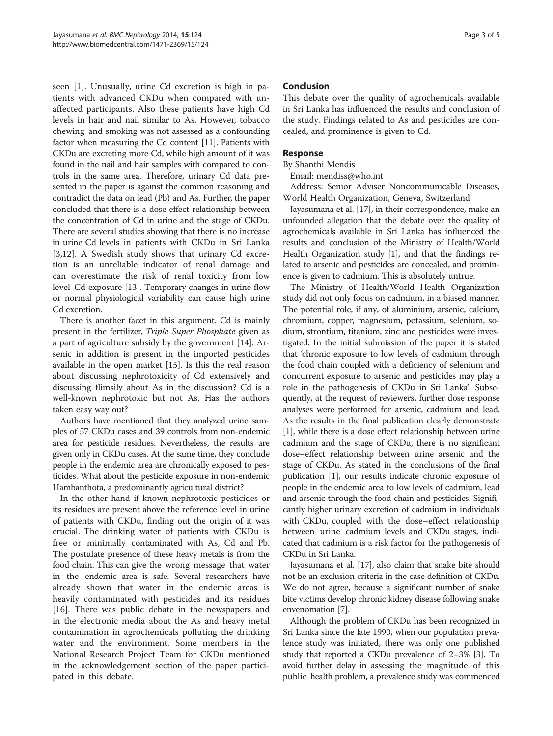seen [[1\]](#page-3-0). Unusually, urine Cd excretion is high in patients with advanced CKDu when compared with unaffected participants. Also these patients have high Cd levels in hair and nail similar to As. However, tobacco chewing and smoking was not assessed as a confounding factor when measuring the Cd content [\[11\]](#page-3-0). Patients with CKDu are excreting more Cd, while high amount of it was found in the nail and hair samples with compared to controls in the same area. Therefore, urinary Cd data presented in the paper is against the common reasoning and contradict the data on lead (Pb) and As. Further, the paper concluded that there is a dose effect relationship between the concentration of Cd in urine and the stage of CKDu. There are several studies showing that there is no increase in urine Cd levels in patients with CKDu in Sri Lanka [[3,12](#page-3-0)]. A Swedish study shows that urinary Cd excretion is an unreliable indicator of renal damage and can overestimate the risk of renal toxicity from low level Cd exposure [[13](#page-3-0)]. Temporary changes in urine flow or normal physiological variability can cause high urine Cd excretion.

There is another facet in this argument. Cd is mainly present in the fertilizer, Triple Super Phosphate given as a part of agriculture subsidy by the government [\[14](#page-3-0)]. Arsenic in addition is present in the imported pesticides available in the open market [[15](#page-3-0)]. Is this the real reason about discussing nephrotoxicity of Cd extensively and discussing flimsily about As in the discussion? Cd is a well-known nephrotoxic but not As. Has the authors taken easy way out?

Authors have mentioned that they analyzed urine samples of 57 CKDu cases and 39 controls from non-endemic area for pesticide residues. Nevertheless, the results are given only in CKDu cases. At the same time, they conclude people in the endemic area are chronically exposed to pesticides. What about the pesticide exposure in non-endemic Hambanthota, a predominantly agricultural district?

In the other hand if known nephrotoxic pesticides or its residues are present above the reference level in urine of patients with CKDu, finding out the origin of it was crucial. The drinking water of patients with CKDu is free or minimally contaminated with As, Cd and Pb. The postulate presence of these heavy metals is from the food chain. This can give the wrong message that water in the endemic area is safe. Several researchers have already shown that water in the endemic areas is heavily contaminated with pesticides and its residues [[16\]](#page-3-0). There was public debate in the newspapers and in the electronic media about the As and heavy metal contamination in agrochemicals polluting the drinking water and the environment. Some members in the National Research Project Team for CKDu mentioned in the acknowledgement section of the paper participated in this debate.

## Conclusion

This debate over the quality of agrochemicals available in Sri Lanka has influenced the results and conclusion of the study. Findings related to As and pesticides are concealed, and prominence is given to Cd.

### Response

By Shanthi Mendis Email: mendiss@who.int

Address: Senior Adviser Noncommunicable Diseases, World Health Organization, Geneva, Switzerland

Jayasumana et al. [\[17\]](#page-4-0), in their correspondence, make an unfounded allegation that the debate over the quality of agrochemicals available in Sri Lanka has influenced the results and conclusion of the Ministry of Health/World Health Organization study [\[1](#page-3-0)], and that the findings related to arsenic and pesticides are concealed, and prominence is given to cadmium. This is absolutely untrue.

The Ministry of Health/World Health Organization study did not only focus on cadmium, in a biased manner. The potential role, if any, of aluminium, arsenic, calcium, chromium, copper, magnesium, potassium, selenium, sodium, strontium, titanium, zinc and pesticides were investigated. In the initial submission of the paper it is stated that 'chronic exposure to low levels of cadmium through the food chain coupled with a deficiency of selenium and concurrent exposure to arsenic and pesticides may play a role in the pathogenesis of CKDu in Sri Lanka'. Subsequently, at the request of reviewers, further dose response analyses were performed for arsenic, cadmium and lead. As the results in the final publication clearly demonstrate [[1\]](#page-3-0), while there is a dose effect relationship between urine cadmium and the stage of CKDu, there is no significant dose–effect relationship between urine arsenic and the stage of CKDu. As stated in the conclusions of the final publication [\[1\]](#page-3-0), our results indicate chronic exposure of people in the endemic area to low levels of cadmium, lead and arsenic through the food chain and pesticides. Significantly higher urinary excretion of cadmium in individuals with CKDu, coupled with the dose–effect relationship between urine cadmium levels and CKDu stages, indicated that cadmium is a risk factor for the pathogenesis of CKDu in Sri Lanka.

Jayasumana et al. [\[17\]](#page-4-0), also claim that snake bite should not be an exclusion criteria in the case definition of CKDu. We do not agree, because a significant number of snake bite victims develop chronic kidney disease following snake envenomation [[7\]](#page-3-0).

Although the problem of CKDu has been recognized in Sri Lanka since the late 1990, when our population prevalence study was initiated, there was only one published study that reported a CKDu prevalence of 2–3% [\[3\]](#page-3-0). To avoid further delay in assessing the magnitude of this public health problem, a prevalence study was commenced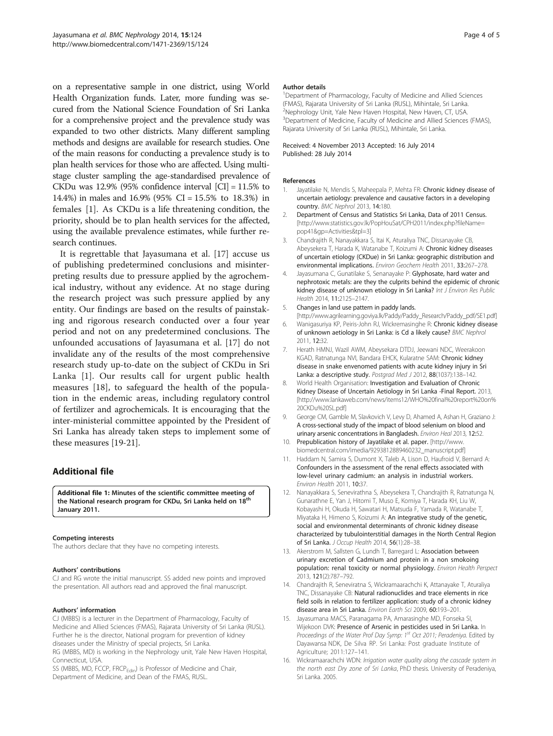<span id="page-3-0"></span>on a representative sample in one district, using World Health Organization funds. Later, more funding was secured from the National Science Foundation of Sri Lanka for a comprehensive project and the prevalence study was expanded to two other districts. Many different sampling methods and designs are available for research studies. One of the main reasons for conducting a prevalence study is to plan health services for those who are affected. Using multistage cluster sampling the age-standardised prevalence of CKDu was 12.9% (95% confidence interval [CI] = 11.5% to 14.4%) in males and 16.9% (95% CI = 15.5% to 18.3%) in females [1]. As CKDu is a life threatening condition, the priority, should be to plan health services for the affected, using the available prevalence estimates, while further research continues.

It is regrettable that Jayasumana et al. [[17](#page-4-0)] accuse us of publishing predetermined conclusions and misinterpreting results due to pressure applied by the agrochemical industry, without any evidence. At no stage during the research project was such pressure applied by any entity. Our findings are based on the results of painstaking and rigorous research conducted over a four year period and not on any predetermined conclusions. The unfounded accusations of Jayasumana et al. [[17\]](#page-4-0) do not invalidate any of the results of the most comprehensive research study up-to-date on the subject of CKDu in Sri Lanka [1]. Our results call for urgent public health measures [\[18](#page-4-0)], to safeguard the health of the population in the endemic areas, including regulatory control of fertilizer and agrochemicals. It is encouraging that the inter-ministerial committee appointed by the President of Sri Lanka has already taken steps to implement some of these measures [\[19-21\]](#page-4-0).

## Additional file

[Additional file 1:](http://www.biomedcentral.com/content/supplementary/1471-2369-15-124-S1.pdf) Minutes of the scientific committee meeting of the National research program for CKDu, Sri Lanka held on  $18<sup>tr</sup>$ January 2011.

#### Competing interests

The authors declare that they have no competing interests.

#### Authors' contributions

CJ and RG wrote the initial manuscript. SS added new points and improved the presentation. All authors read and approved the final manuscript.

#### Authors' information

CJ (MBBS) is a lecturer in the Department of Pharmacology, Faculty of Medicine and Allied Sciences (FMAS), Rajarata University of Sri Lanka (RUSL). Further he is the director, National program for prevention of kidney diseases under the Ministry of special projects, Sri Lanka.

RG (MBBS, MD) is working in the Nephrology unit, Yale New Haven Hospital, Connecticut, USA.

SS (MBBS, MD, FCCP, FRCP<sub>Edin</sub>) is Professor of Medicine and Chair, Department of Medicine, and Dean of the FMAS, RUSL.

#### Author details

<sup>1</sup>Department of Pharmacology, Faculty of Medicine and Allied Sciences (FMAS), Rajarata University of Sri Lanka (RUSL), Mihintale, Sri Lanka. <sup>2</sup>Nephrology Unit, Yale New Haven Hospital, New Haven, CT, USA. <sup>3</sup>Department of Medicine, Faculty of Medicine and Allied Sciences (FMAS), Rajarata University of Sri Lanka (RUSL), Mihintale, Sri Lanka.

#### Received: 4 November 2013 Accepted: 16 July 2014 Published: 28 July 2014

#### References

- 1. Jayatilake N, Mendis S, Maheepala P, Mehta FR: Chronic kidney disease of uncertain aetiology: prevalence and causative factors in a developing country. BMC Nephrol 2013, 14:180.
- 2. Department of Census and Statistics Sri Lanka, Data of 2011 Census. [[http://www.statistics.gov.lk/PopHouSat/CPH2011/index.php?fileName=](http://www.statistics.gov.lk/PopHouSat/CPH2011/index.php?fileName=pop41&gp=Activities&tpl=3) [pop41&gp=Activities&tpl=3](http://www.statistics.gov.lk/PopHouSat/CPH2011/index.php?fileName=pop41&gp=Activities&tpl=3)]
- 3. Chandrajith R, Nanayakkara S, Itai K, Aturaliya TNC, Dissanayake CB, Abeysekera T, Harada K, Watanabe T, Koizumi A: Chronic kidney diseases of uncertain etiology (CKDue) in Sri Lanka: geographic distribution and environmental implications. Environ Geochem Health 2011, 33:267–278.
- 4. Jayasumana C, Gunatilake S, Senanayake P: Glyphosate, hard water and nephrotoxic metals: are they the culprits behind the epidemic of chronic kidney disease of unknown etiology in Sri Lanka? Int J Environ Res Public Health 2014, 11:2125–2147.
- 5. Changes in land use pattern in paddy lands.
- [[http://www.agrilearning.goviya.lk/Paddy/Paddy\\_Research/Paddy\\_pdf/SE1.pdf\]](http://www.agrilearning.goviya.lk/Paddy/Paddy_Research/Paddy_pdf/SE1.pdf) 6. Wanigasuriya KP, Peiris-John RJ, Wickremasinghe R: Chronic kidney disease
- of unknown aetiology in Sri Lanka: is Cd a likely cause? BMC Nephrol 2011, 12:32.
- 7. Herath HMNJ, Wazil AWM, Abeysekara DTDJ, Jeewani NDC, Weerakoon KGAD, Ratnatunga NVI, Bandara EHCK, Kularatne SAM: Chronic kidney disease in snake envenomed patients with acute kidney injury in Sri Lanka: a descriptive study. Postgrad Med J 2012, 88(1037):138-142.
- 8. World Health Organisation: Investigation and Evaluation of Chronic Kidney Disease of Uncertain Aetiology in Sri Lanka -Final Report. 2013, [[http://www.lankaweb.com/news/items12/WHO%20final%20report%20on%](http://www.lankaweb.com/news/items12/WHO%20final%20report%20on%20CKDu%20SL.pdf) [20CKDu%20SL.pdf\]](http://www.lankaweb.com/news/items12/WHO%20final%20report%20on%20CKDu%20SL.pdf)
- 9. George CM, Gamble M, Slavkovich V, Levy D, Ahamed A, Ashan H, Graziano J: A cross-sectional study of the impact of blood selenium on blood and urinary arsenic concentrations in Bangladesh. Environ Heal 2013, 12:52.
- 10. Prepublication history of Jayatilake et al. paper. [\[http://www.](http://www.biomedcentral.com/imedia/9293812889460232_manuscript.pdf) [biomedcentral.com/imedia/9293812889460232\\_manuscript.pdf\]](http://www.biomedcentral.com/imedia/9293812889460232_manuscript.pdf)
- 11. Haddam N, Samira S, Dumont X, Taleb A, Lison D, Haufroid V, Bernard A: Confounders in the assessment of the renal effects associated with low-level urinary cadmium: an analysis in industrial workers. Environ Health 2011, 10:37.
- 12. Nanayakkara S, Senevirathna S, Abeysekera T, Chandrajith R, Ratnatunga N, Gunarathne E, Yan J, Hitomi T, Muso E, Komiya T, Harada KH, Liu W, Kobayashi H, Okuda H, Sawatari H, Matsuda F, Yamada R, Watanabe T, Miyataka H, Himeno S, Koizumi A: An integrative study of the genetic, social and environmental determinants of chronic kidney disease characterized by tubulointerstitial damages in the North Central Region of Sri Lanka. J Occup Health 2014, 56(1):28–38.
- 13. Akerstrom M, Sallsten G, Lundh T, Barregard L: Association between urinary excretion of Cadmium and protein in a non smokoing population: renal toxicity or normal physiology. Environ Health Perspect 2013, 121(2):787–792.
- 14. Chandrajith R, Seneviratna S, Wickramaarachchi K, Attanayake T, Aturaliya TNC, Dissanayake CB: Natural radionuclides and trace elements in rice field soils in relation to fertilizer application: study of a chronic kidney disease area in Sri Lanka. Environ Earth Sci 2009, 60:193–201.
- 15. Jayasumana MACS, Paranagama PA, Amarasinghe MD, Fonseka SI, Wijekoon DVK: Presence of Arsenic in pesticides used in Sri Lanka. In Proceedings of the Water Prof Day Symp: 1<sup>st</sup> Oct 2011; Peradeniya. Edited by Dayawansa NDK, De Silva RP. Sri Lanka: Post graduate Institute of Agriculture; 2011:127–141.
- 16. Wickramaarachchi WDN: Irrigation water quality along the cascade system in the north east Dry zone of Sri Lanka, PhD thesis. University of Peradeniya, Sri Lanka. 2005.